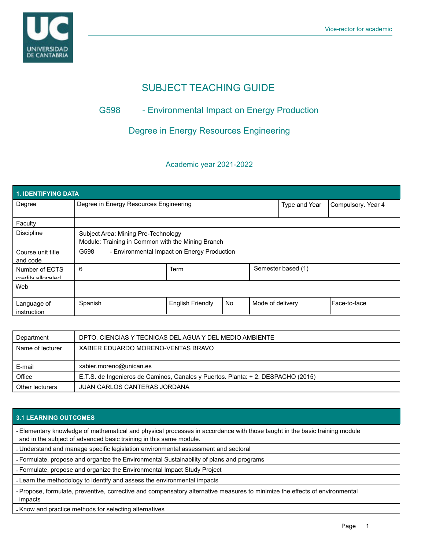

# SUBJECT TEACHING GUIDE

## G598 - Environmental Impact on Energy Production

### Degree in Energy Resources Engineering

### Academic year 2021-2022

| <b>1. IDENTIFYING DATA</b>          |                                                                                          |                         |           |                  |                    |              |  |  |  |
|-------------------------------------|------------------------------------------------------------------------------------------|-------------------------|-----------|------------------|--------------------|--------------|--|--|--|
| Degree                              | Degree in Energy Resources Engineering                                                   |                         |           | Type and Year    | Compulsory. Year 4 |              |  |  |  |
| Faculty                             |                                                                                          |                         |           |                  |                    |              |  |  |  |
| <b>Discipline</b>                   | Subject Area: Mining Pre-Technology<br>Module: Training in Common with the Mining Branch |                         |           |                  |                    |              |  |  |  |
| Course unit title<br>and code       | G598<br>- Environmental Impact on Energy Production                                      |                         |           |                  |                    |              |  |  |  |
| Number of ECTS<br>credits allocated | 6                                                                                        | Term                    |           |                  | Semester based (1) |              |  |  |  |
| Web                                 |                                                                                          |                         |           |                  |                    |              |  |  |  |
| Language of<br>instruction          | Spanish                                                                                  | <b>English Friendly</b> | <b>No</b> | Mode of delivery |                    | Face-to-face |  |  |  |

| Department       | DPTO. CIENCIAS Y TECNICAS DEL AGUA Y DEL MEDIO AMBIENTE                          |
|------------------|----------------------------------------------------------------------------------|
| Name of lecturer | XABIER EDUARDO MORENO-VENTAS BRAVO                                               |
|                  |                                                                                  |
| E-mail           | xabier.moreno@unican.es                                                          |
| Office           | E.T.S. de Ingenieros de Caminos, Canales y Puertos. Planta: + 2. DESPACHO (2015) |
| Other lecturers  | JUAN CARLOS CANTERAS JORDANA                                                     |

#### **3.1 LEARNING OUTCOMES**

- Elementary knowledge of mathematical and physical processes in accordance with those taught in the basic training module and in the subject of advanced basic training in this same module.

- Understand and manage specific legislation environmental assessment and sectoral

- Formulate, propose and organize the Environmental Sustainability of plans and programs

- Formulate, propose and organize the Environmental Impact Study Project

- Learn the methodology to identify and assess the environmental impacts

- Propose, formulate, preventive, corrective and compensatory alternative measures to minimize the effects of environmental impacts

- Know and practice methods for selecting alternatives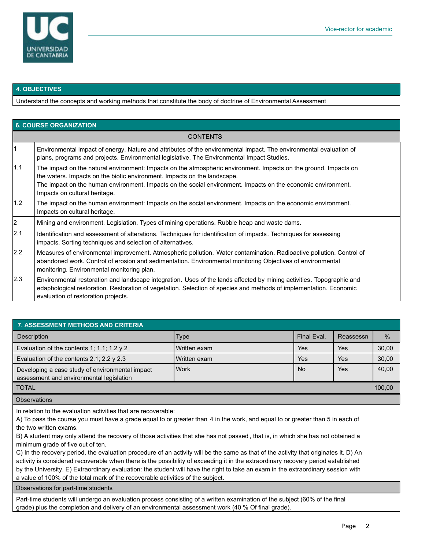

### **4. OBJECTIVES**

Understand the concepts and working methods that constitute the body of doctrine of Environmental Assessment

| <b>6. COURSE ORGANIZATION</b> |                                                                                                                                                                                                                                                                                                                                               |  |  |  |
|-------------------------------|-----------------------------------------------------------------------------------------------------------------------------------------------------------------------------------------------------------------------------------------------------------------------------------------------------------------------------------------------|--|--|--|
| <b>CONTENTS</b>               |                                                                                                                                                                                                                                                                                                                                               |  |  |  |
| $\vert$ 1                     | Environmental impact of energy. Nature and attributes of the environmental impact. The environmental evaluation of<br>plans, programs and projects. Environmental legislative. The Environmental Impact Studies.                                                                                                                              |  |  |  |
| 1.1                           | The impact on the natural environment: Impacts on the atmospheric environment. Impacts on the ground. Impacts on<br>the waters. Impacts on the biotic environment. Impacts on the landscape.<br>The impact on the human environment. Impacts on the social environment. Impacts on the economic environment.<br>Impacts on cultural heritage. |  |  |  |
| 1.2                           | The impact on the human environment: Impacts on the social environment. Impacts on the economic environment.<br>Impacts on cultural heritage.                                                                                                                                                                                                 |  |  |  |
| $\vert$ <sub>2</sub>          | Mining and environment. Legislation. Types of mining operations. Rubble heap and waste dams.                                                                                                                                                                                                                                                  |  |  |  |
| 2.1                           | Identification and assessment of alterations. Techniques for identification of impacts. Techniques for assessing<br>impacts. Sorting techniques and selection of alternatives.                                                                                                                                                                |  |  |  |
| 2.2                           | Measures of environmental improvement. Atmospheric pollution. Water contamination. Radioactive pollution. Control of<br>abandoned work. Control of erosion and sedimentation. Environmental monitoring Objectives of environmental<br>monitoring. Environmental monitoring plan.                                                              |  |  |  |
| 2.3                           | Environmental restoration and landscape integration. Uses of the lands affected by mining activities. Topographic and<br>edaphological restoration. Restoration of vegetation. Selection of species and methods of implementation. Economic<br>evaluation of restoration projects.                                                            |  |  |  |

| <b>7. ASSESSMENT METHODS AND CRITERIA</b>                                                   |                |             |            |       |  |  |  |  |
|---------------------------------------------------------------------------------------------|----------------|-------------|------------|-------|--|--|--|--|
| Description                                                                                 | Type           | Final Eval. | Reassessn  | $\%$  |  |  |  |  |
| Evaluation of the contents 1; 1.1; 1.2 $\gamma$ 2                                           | l Written exam | Yes         | Yes        | 30,00 |  |  |  |  |
| Evaluation of the contents 2.1; 2.2 $\gamma$ 2.3                                            | Written exam   | Yes         | <b>Yes</b> | 30,00 |  |  |  |  |
| Developing a case study of environmental impact<br>assessment and environmental legislation | <b>Work</b>    | <b>No</b>   | Yes        | 40,00 |  |  |  |  |
| <b>TOTAL</b>                                                                                |                |             |            |       |  |  |  |  |
| <b>Observations</b>                                                                         |                |             |            |       |  |  |  |  |

In relation to the evaluation activities that are recoverable:

A) To pass the course you must have a grade equal to or greater than 4 in the work, and equal to or greater than 5 in each of the two written exams.

B) A student may only attend the recovery of those activities that she has not passed , that is, in which she has not obtained a minimum grade of five out of ten.

C) In the recovery period, the evaluation procedure of an activity will be the same as that of the activity that originates it. D) An activity is considered recoverable when there is the possibility of exceeding it in the extraordinary recovery period established by the University. E) Extraordinary evaluation: the student will have the right to take an exam in the extraordinary session with a value of 100% of the total mark of the recoverable activities of the subject.

Observations for part-time students

Part-time students will undergo an evaluation process consisting of a written examination of the subject (60% of the final grade) plus the completion and delivery of an environmental assessment work (40 % Of final grade).